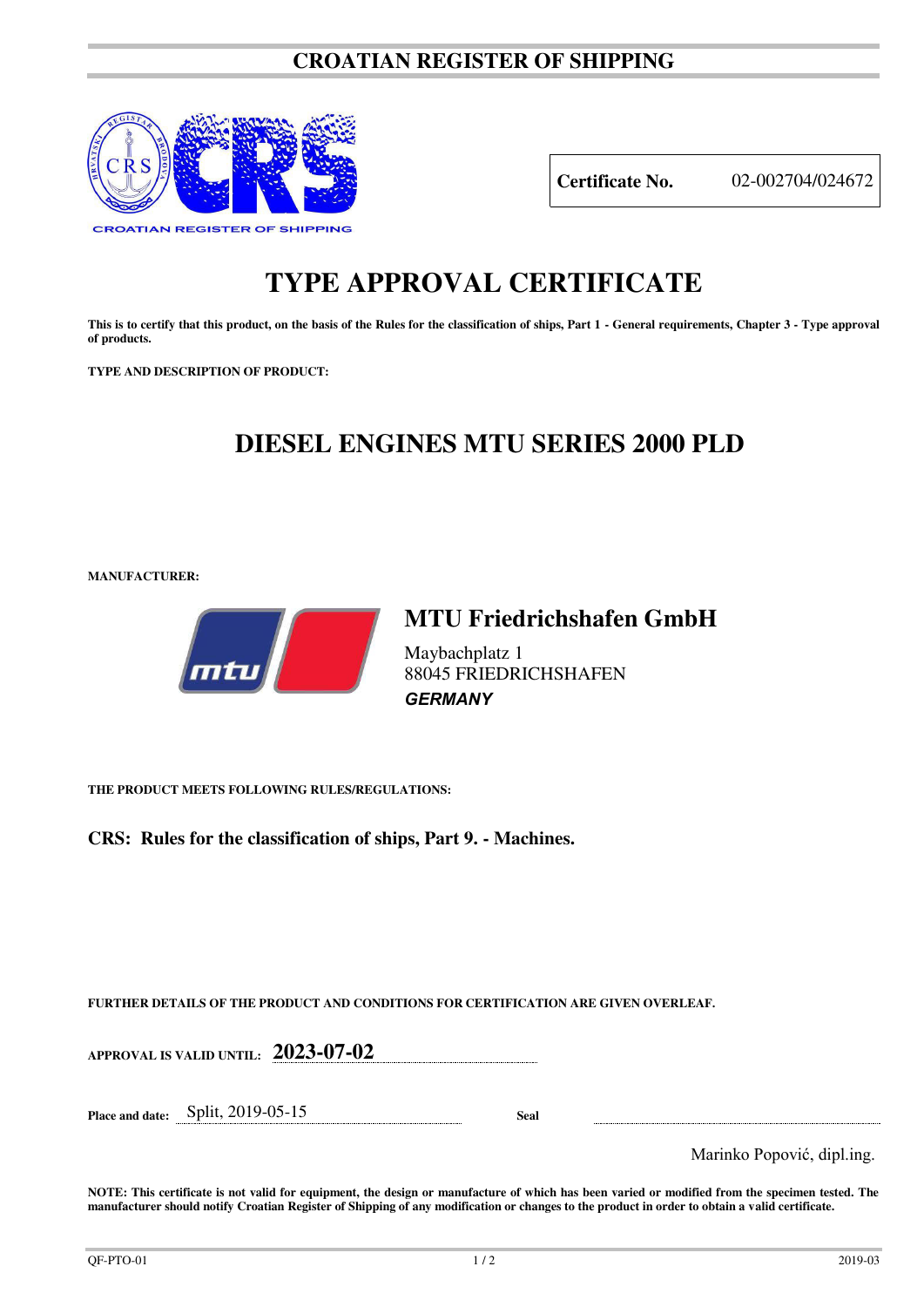### **CROATIAN REGISTER OF SHIPPING**



**Certificate No.** 02-002704/024672

# **TYPE APPROVAL CERTIFICATE**

This is to certify that this product, on the basis of the Rules for the classification of ships, Part 1 - General requirements, Chapter 3 - Type approval **of products.** 

**TYPE AND DESCRIPTION OF PRODUCT:** 

## **DIESEL ENGINES MTU SERIES 2000 PLD**

*GERMANY* 

**MANUFACTURER:**



## **MTU Friedrichshafen GmbH** Maybachplatz 1 88045 FRIEDRICHSHAFEN

**THE PRODUCT MEETS FOLLOWING RULES/REGULATIONS:**

**CRS: Rules for the classification of ships, Part 9. - Machines.**

**FURTHER DETAILS OF THE PRODUCT AND CONDITIONS FOR CERTIFICATION ARE GIVEN OVERLEAF.**

**APPROVAL IS VALID UNTIL: 2023-07-02**

**Place and date:** Split, 2019-05-15 **Seal** 

Marinko Popović, dipl.ing.

**NOTE: This certificate is not valid for equipment, the design or manufacture of which has been varied or modified from the specimen tested. The manufacturer should notify Croatian Register of Shipping of any modification or changes to the product in order to obtain a valid certificate.**